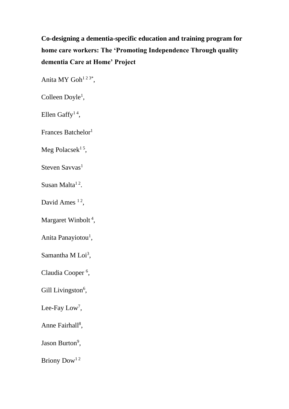**Co-designing a dementia-specific education and training program for home care workers: The 'Promoting Independence Through quality dementia Care at Home' Project**

Anita MY  $Goh<sup>123*</sup>$ ,

Colleen Doyle<sup>1</sup>,

Ellen Gaffy<sup>14</sup>,

Frances Batchelor<sup>1</sup>

Meg Polacsek $^{1.5}$ ,

Steven Savvas<sup>1</sup>

Susan Malta<sup>12</sup>.

David Ames  $12$ ,

Margaret Winbolt<sup>4</sup>,

Anita Panayiotou<sup>1</sup>,

Samantha M  $Loi<sup>3</sup>$ ,

Claudia Cooper<sup>6</sup>,

Gill Livingston<sup>6</sup>,

Lee-Fay  $Low^7$ ,

Anne Fairhall<sup>8</sup>,

Jason Burton<sup>9</sup>,

Briony Dow<sup>12</sup>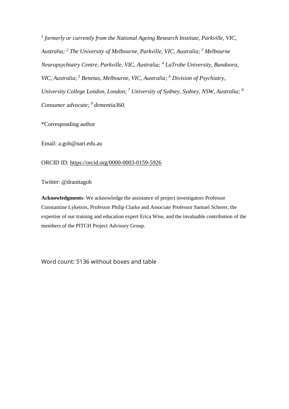*1 formerly or currently from the National Ageing Research Institute, Parkville, VIC, Australia; <sup>2</sup> The University of Melbourne, Parkville, VIC, Australia; <sup>3</sup> Melbourne Neuropsychiatry Centre, Parkville, VIC, Australia; <sup>4</sup> LaTrobe University, Bundoora, VIC, Australia; <sup>5</sup> Benetas, Melbourne, VIC, Australia; <sup>6</sup> Division of Psychiatry, University College London, London; <sup>7</sup> University of Sydney, Sydney, NSW, Australia; <sup>8</sup> Consumer advocate; <sup>9</sup>dementia360.*

\*Corresponding author

Email: [a.goh@nari.edu.au](mailto:a.goh@nari.edu.au)

## ORCID ID:<https://orcid.org/0000-0003-0159-5926>

Twitter: @dranitagoh

**Acknowledgments**: We acknowledge the assistance of project investigators Professor Constantine Lyketsos, Professor Philip Clarke and Associate Professor Samuel Scherer, the expertise of our training and education expert Erica Wise, and the invaluable contribution of the members of the PITCH Project Advisory Group.

Word count: 5136 without boxes and table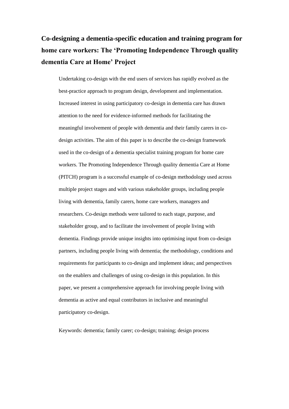# **Co-designing a dementia-specific education and training program for home care workers: The 'Promoting Independence Through quality dementia Care at Home' Project**

Undertaking co-design with the end users of services has rapidly evolved as the best-practice approach to program design, development and implementation. Increased interest in using participatory co-design in dementia care has drawn attention to the need for evidence-informed methods for facilitating the meaningful involvement of people with dementia and their family carers in codesign activities. The aim of this paper is to describe the co-design framework used in the co-design of a dementia specialist training program for home care workers. The Promoting Independence Through quality dementia Care at Home (PITCH) program is a successful example of co-design methodology used across multiple project stages and with various stakeholder groups, including people living with dementia, family carers, home care workers, managers and researchers. Co-design methods were tailored to each stage, purpose, and stakeholder group, and to facilitate the involvement of people living with dementia. Findings provide unique insights into optimising input from co-design partners, including people living with dementia; the methodology, conditions and requirements for participants to co-design and implement ideas; and perspectives on the enablers and challenges of using co-design in this population. In this paper, we present a comprehensive approach for involving people living with dementia as active and equal contributors in inclusive and meaningful participatory co-design.

Keywords: dementia; family carer; co-design; training; design process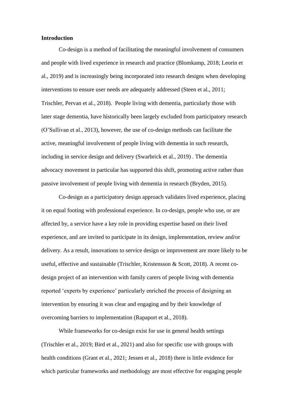## **Introduction**

Co-design is a method of facilitating the meaningful involvement of consumers and people with lived experience in research and practice (Blomkamp, 2018; Leorin et al., 2019) and is increasingly being incorporated into research designs when developing interventions to ensure user needs are adequately addressed (Steen et al., 2011; Trischler, Pervan et al., 2018). People living with dementia, particularly those with later stage dementia, have historically been largely excluded from participatory research (O'Sullivan et al., 2013), however, the use of co-design methods can facilitate the active, meaningful involvement of people living with dementia in such research, including in service design and delivery (Swarbrick et al., 2019) . The dementia advocacy movement in particular has supported this shift, promoting active rather than passive involvement of people living with dementia in research (Bryden, 2015).

Co-design as a participatory design approach validates lived experience, placing it on equal footing with professional experience. In co-design, people who use, or are affected by, a service have a key role in providing expertise based on their lived experience, and are invited to participate in its design, implementation, review and/or delivery. As a result, innovations to service design or improvement are more likely to be useful, effective and sustainable (Trischler, Kristensson  $\&$  Scott, 2018). A recent codesign project of an intervention with family carers of people living with dementia reported 'experts by experience' particularly enriched the process of designing an intervention by ensuring it was clear and engaging and by their knowledge of overcoming barriers to implementation (Rapaport et al., 2018).

While frameworks for co-design exist for use in general health settings (Trischler et al., 2019; Bird et al., 2021) and also for specific use with groups with health conditions (Grant et al., 2021; Jessen et al., 2018) there is little evidence for which particular frameworks and methodology are most effective for engaging people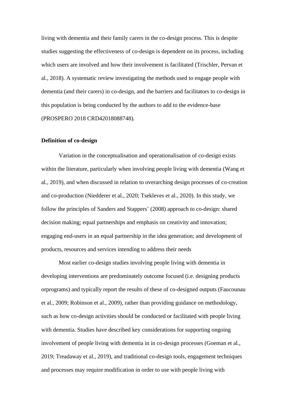living with dementia and their family carers in the co-design process. This is despite studies suggesting the effectiveness of co-design is dependent on its process, including which users are involved and how their involvement is facilitated (Trischler, Pervan et al., 2018). A systematic review investigating the methods used to engage people with dementia (and their carers) in co-design, and the barriers and facilitators to co-design in this population is being conducted by the authors to add to the evidence-base (PROSPERO 2018 CRD42018088748).

#### **Definition of co-design**

Variation in the conceptualisation and operationalisation of co-design exists within the literature, particularly when involving people living with dementia (Wang et al., 2019), and when discussed in relation to overarching design processes of co-creation and co-production (Niedderer et al., 2020; Tsekleves et al., 2020). In this study, we follow the principles of Sanders and Stappers' (2008) approach to co-design: shared decision making; equal partnerships and emphasis on creativity and innovation; engaging end-users in an equal partnership in the idea generation; and development of products, resources and services intending to address their needs

Most earlier co-design studies involving people living with dementia in developing interventions are predominately outcome focused (i.e. designing products orprograms) and typically report the results of these of co-designed outputs (Faucounau et al., 2009; Robinson et al., 2009), rather than providing guidance on methodology, such as how co-design activities should be conducted or facilitated with people living with dementia. Studies have described key considerations for supporting ongoing involvement of people living with dementia in in co-design processes (Goeman et al., 2019; Treadaway et al., 2019), and traditional co-design tools, engagement techniques and processes may require modification in order to use with people living with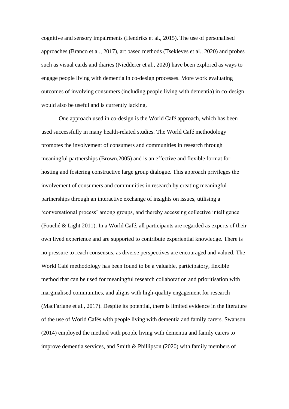cognitive and sensory impairments (Hendriks et al., 2015). The use of personalised approaches (Branco et al., 2017), art based methods (Tsekleves et al., 2020) and probes such as visual cards and diaries (Niedderer et al., 2020) have been explored as ways to engage people living with dementia in co-design processes. More work evaluating outcomes of involving consumers (including people living with dementia) in co-design would also be useful and is currently lacking.

One approach used in co-design is the World Café approach, which has been used successfully in many health-related studies. The World Café methodology promotes the involvement of consumers and communities in research through meaningful partnerships (Brown,2005) and is an effective and flexible format for hosting and fostering constructive large group dialogue. This approach privileges the involvement of consumers and communities in research by creating meaningful partnerships through an interactive exchange of insights on issues, utilising a 'conversational process' among groups, and thereby accessing collective intelligence (Fouché & Light 2011). In a World Café, all participants are regarded as experts of their own lived experience and are supported to contribute experiential knowledge. There is no pressure to reach consensus, as diverse perspectives are encouraged and valued. The World Café methodology has been found to be a valuable, participatory, flexible method that can be used for meaningful research collaboration and prioritisation with marginalised communities, and aligns with high-quality engagement for research (MacFarlane et al., 2017). Despite its potential, there is limited evidence in the literature of the use of World Cafés with people living with dementia and family carers. Swanson (2014) employed the method with people living with dementia and family carers to improve dementia services, and Smith & Phillipson (2020) with family members of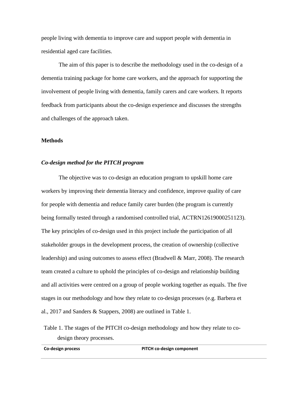people living with dementia to improve care and support people with dementia in residential aged care facilities.

The aim of this paper is to describe the methodology used in the co-design of a dementia training package for home care workers, and the approach for supporting the involvement of people living with dementia, family carers and care workers. It reports feedback from participants about the co-design experience and discusses the strengths and challenges of the approach taken.

#### **Methods**

## *Co-design method for the PITCH program*

The objective was to co-design an education program to upskill home care workers by improving their dementia literacy and confidence, improve quality of care for people with dementia and reduce family carer burden (the program is currently being formally tested through a randomised controlled trial, ACTRN12619000251123). The key principles of co-design used in this project include the participation of all stakeholder groups in the development process, the creation of ownership (collective leadership) and using outcomes to assess effect (Bradwell & Marr, 2008). The research team created a culture to uphold the principles of co-design and relationship building and all activities were centred on a group of people working together as equals. The five stages in our methodology and how they relate to co-design processes (e.g. Barbera et al., 2017 and Sanders & Stappers, 2008) are outlined in Table 1.

Table 1. The stages of the PITCH co-design methodology and how they relate to codesign theory processes.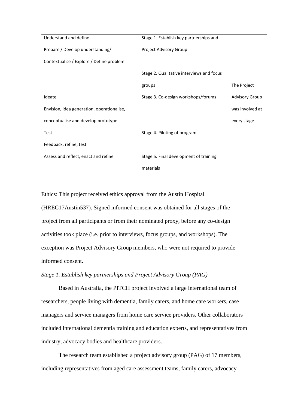| Understand and define                      | Stage 1. Establish key partnerships and   |                       |
|--------------------------------------------|-------------------------------------------|-----------------------|
| Prepare / Develop understanding/           | Project Advisory Group                    |                       |
| Contextualise / Explore / Define problem   |                                           |                       |
|                                            | Stage 2. Qualitative interviews and focus |                       |
|                                            | groups                                    | The Project           |
| Ideate                                     | Stage 3. Co-design workshops/forums       | <b>Advisory Group</b> |
| Envision, idea generation, operationalise, |                                           | was involved at       |
| conceptualise and develop prototype        |                                           | every stage           |
| <b>Test</b>                                | Stage 4. Piloting of program              |                       |
| Feedback, refine, test                     |                                           |                       |
| Assess and reflect, enact and refine       | Stage 5. Final development of training    |                       |
|                                            | materials                                 |                       |

Ethics: This project received ethics approval from the Austin Hospital (HREC17Austin537). Signed informed consent was obtained for all stages of the project from all participants or from their nominated proxy, before any co-design activities took place (i.e. prior to interviews, focus groups, and workshops). The exception was Project Advisory Group members, who were not required to provide informed consent.

## *Stage 1. Establish key partnerships and Project Advisory Group (PAG)*

Based in Australia, the PITCH project involved a large international team of researchers, people living with dementia, family carers, and home care workers, case managers and service managers from home care service providers. Other collaborators included international dementia training and education experts, and representatives from industry, advocacy bodies and healthcare providers.

The research team established a project advisory group (PAG) of 17 members, including representatives from aged care assessment teams, family carers, advocacy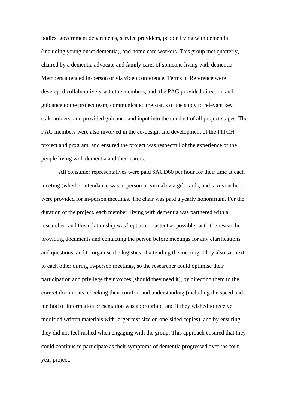bodies, government departments, service providers, people living with dementia (including young onset dementia), and home care workers. This group met quarterly, chaired by a dementia advocate and family carer of someone living with dementia. Members attended in-person or via video conference. Terms of Reference were developed collaboratively with the members, and the PAG provided direction and guidance to the project team, communicated the status of the study to relevant key stakeholders, and provided guidance and input into the conduct of all project stages. The PAG members were also involved in the co-design and development of the PITCH project and program, and ensured the project was respectful of the experience of the people living with dementia and their carers.

All consumer representatives were paid \$AUD60 per hour for their time at each meeting (whether attendance was in person or virtual) via gift cards, and taxi vouchers were provided for in-person meetings. The chair was paid a yearly honorarium. For the duration of the project, each member living with dementia was partnered with a researcher, and this relationship was kept as consistent as possible, with the researcher providing documents and contacting the person before meetings for any clarifications and questions, and to organise the logistics of attending the meeting. They also sat next to each other during in-person meetings, so the researcher could optimise their participation and privilege their voices (should they need it), by directing them to the correct documents, checking their comfort and understanding (including the speed and method of information presentation was appropriate, and if they wished to receive modified written materials with larger text size on one-sided copies), and by ensuring they did not feel rushed when engaging with the group. This approach ensured that they could continue to participate as their symptoms of dementia progressed over the fouryear project.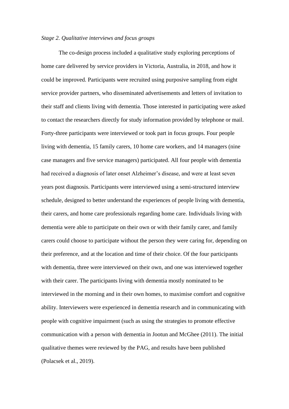## *Stage 2. Qualitative interviews and focus groups*

The co-design process included a qualitative study exploring perceptions of home care delivered by service providers in Victoria, Australia, in 2018, and how it could be improved. Participants were recruited using purposive sampling from eight service provider partners, who disseminated advertisements and letters of invitation to their staff and clients living with dementia. Those interested in participating were asked to contact the researchers directly for study information provided by telephone or mail. Forty-three participants were interviewed or took part in focus groups. Four people living with dementia, 15 family carers, 10 home care workers, and 14 managers (nine case managers and five service managers) participated. All four people with dementia had received a diagnosis of later onset Alzheimer's disease, and were at least seven years post diagnosis. Participants were interviewed using a semi-structured interview schedule, designed to better understand the experiences of people living with dementia, their carers, and home care professionals regarding home care. Individuals living with dementia were able to participate on their own or with their family carer, and family carers could choose to participate without the person they were caring for, depending on their preference, and at the location and time of their choice. Of the four participants with dementia, three were interviewed on their own, and one was interviewed together with their carer. The participants living with dementia mostly nominated to be interviewed in the morning and in their own homes, to maximise comfort and cognitive ability. Interviewers were experienced in dementia research and in communicating with people with cognitive impairment (such as using the strategies to promote effective communication with a person with dementia in Jootun and McGhee (2011). The initial qualitative themes were reviewed by the PAG, and results have been published (Polacsek et al., 2019).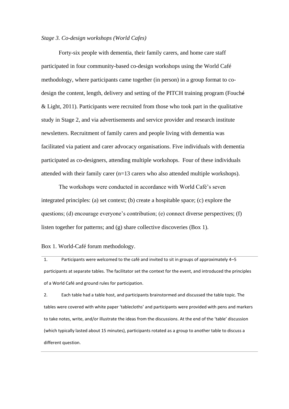## *Stage 3. Co-design workshops (World Cafes)*

Forty-six people with dementia, their family carers, and home care staff participated in four community-based co-design workshops using the World Café methodology, where participants came together (in person) in a group format to codesign the content, length, delivery and setting of the PITCH training program (Fouché & Light, 2011). Participants were recruited from those who took part in the qualitative study in Stage 2, and via advertisements and service provider and research institute newsletters. Recruitment of family carers and people living with dementia was facilitated via patient and carer advocacy organisations. Five individuals with dementia participated as co-designers, attending multiple workshops. Four of these individuals attended with their family carer (n=13 carers who also attended multiple workshops).

The workshops were conducted in accordance with World Café's seven integrated principles: (a) set context; (b) create a hospitable space; (c) explore the questions; (d) encourage everyone's contribution; (e) connect diverse perspectives; (f) listen together for patterns; and (g) share collective discoveries (Box 1).

Box 1. World-Café forum methodology.

1. Participants were welcomed to the café and invited to sit in groups of approximately 4–5 participants at separate tables. The facilitator set the context for the event, and introduced the principles of a World Café and ground rules for participation.

2. Each table had a table host, and participants brainstormed and discussed the table topic. The tables were covered with white paper 'tablecloths' and participants were provided with pens and markers to take notes, write, and/or illustrate the ideas from the discussions. At the end of the 'table' discussion (which typically lasted about 15 minutes), participants rotated as a group to another table to discuss a different question.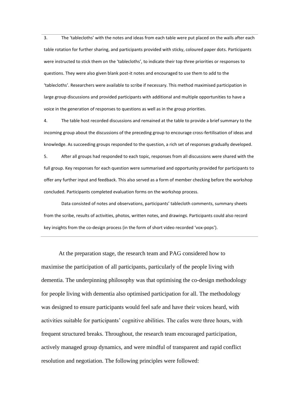3. The 'tablecloths' with the notes and ideas from each table were put placed on the walls after each table rotation for further sharing, and participants provided with sticky, coloured paper dots. Participants were instructed to stick them on the 'tablecloths', to indicate their top three priorities or responses to questions. They were also given blank post-it notes and encouraged to use them to add to the 'tablecloths'. Researchers were available to scribe if necessary. This method maximised participation in large group discussions and provided participants with additional and multiple opportunities to have a voice in the generation of responses to questions as well as in the group priorities.

4. The table host recorded discussions and remained at the table to provide a brief summary to the incoming group about the discussions of the preceding group to encourage cross-fertilisation of ideas and knowledge. As succeeding groups responded to the question, a rich set of responses gradually developed.

5. After all groups had responded to each topic, responses from all discussions were shared with the full group. Key responses for each question were summarised and opportunity provided for participants to offer any further input and feedback. This also served as a form of member checking before the workshop concluded. Participants completed evaluation forms on the workshop process.

Data consisted of notes and observations, participants' tablecloth comments, summary sheets from the scribe, results of activities, photos, written notes, and drawings. Participants could also record key insights from the co-design process (in the form of short video recorded 'vox-pops').

At the preparation stage, the research team and PAG considered how to maximise the participation of all participants, particularly of the people living with dementia. The underpinning philosophy was that optimising the co-design methodology for people living with dementia also optimised participation for all. The methodology was designed to ensure participants would feel safe and have their voices heard, with activities suitable for participants' cognitive abilities. The cafes were three hours, with frequent structured breaks. Throughout, the research team encouraged participation, actively managed group dynamics, and were mindful of transparent and rapid conflict resolution and negotiation. The following principles were followed: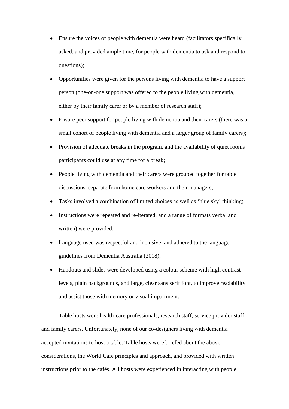- Ensure the voices of people with dementia were heard (facilitators specifically asked, and provided ample time, for people with dementia to ask and respond to questions);
- Opportunities were given for the persons living with dementia to have a support person (one-on-one support was offered to the people living with dementia, either by their family carer or by a member of research staff);
- Ensure peer support for people living with dementia and their carers (there was a small cohort of people living with dementia and a larger group of family carers);
- Provision of adequate breaks in the program, and the availability of quiet rooms participants could use at any time for a break;
- People living with dementia and their carers were grouped together for table discussions, separate from home care workers and their managers;
- Tasks involved a combination of limited choices as well as 'blue sky' thinking;
- Instructions were repeated and re-iterated, and a range of formats verbal and written) were provided;
- Language used was respectful and inclusive, and adhered to the language guidelines from Dementia Australia (2018);
- Handouts and slides were developed using a colour scheme with high contrast levels, plain backgrounds, and large, clear sans serif font, to improve readability and assist those with memory or visual impairment.

Table hosts were health-care professionals, research staff, service provider staff and family carers. Unfortunately, none of our co-designers living with dementia accepted invitations to host a table. Table hosts were briefed about the above considerations, the World Café principles and approach, and provided with written instructions prior to the cafés. All hosts were experienced in interacting with people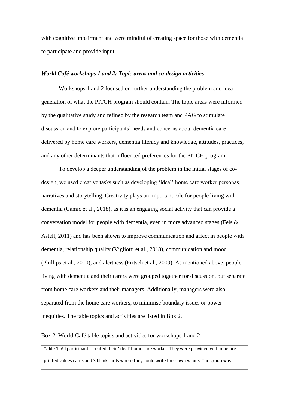with cognitive impairment and were mindful of creating space for those with dementia to participate and provide input.

## *World Café workshops 1 and 2: Topic areas and co-design activities*

Workshops 1 and 2 focused on further understanding the problem and idea generation of what the PITCH program should contain. The topic areas were informed by the qualitative study and refined by the research team and PAG to stimulate discussion and to explore participants' needs and concerns about dementia care delivered by home care workers, dementia literacy and knowledge, attitudes, practices, and any other determinants that influenced preferences for the PITCH program.

To develop a deeper understanding of the problem in the initial stages of codesign, we used creative tasks such as developing 'ideal' home care worker personas, narratives and storytelling. Creativity plays an important role for people living with dementia (Camic et al., 2018), as it is an engaging social activity that can provide a conversation model for people with dementia, even in more advanced stages (Fels & Astell, 2011) and has been shown to improve communication and affect in people with dementia, relationship quality (Vigliotti et al., 2018), communication and mood (Phillips et al., 2010), and alertness (Fritsch et al., 2009). As mentioned above, people living with dementia and their carers were grouped together for discussion, but separate from home care workers and their managers. Additionally, managers were also separated from the home care workers, to minimise boundary issues or power inequities. The table topics and activities are listed in Box 2.

Box 2. World-Café table topics and activities for workshops 1 and 2

**Table 1**. All participants created their 'ideal' home care worker. They were provided with nine preprinted values cards and 3 blank cards where they could write their own values. The group was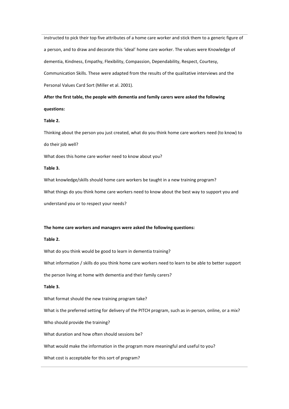instructed to pick their top five attributes of a home care worker and stick them to a generic figure of a person, and to draw and decorate this 'ideal' home care worker. The values were Knowledge of dementia, Kindness, Empathy, Flexibility, Compassion, Dependability, Respect, Courtesy, Communication Skills. These were adapted from the results of the qualitative interviews and the Personal Values Card Sort (Miller et al. 2001).

**After the first table, the people with dementia and family carers were asked the following questions:**

#### **Table 2.**

Thinking about the person you just created, what do you think home care workers need (to know) to do their job well?

What does this home care worker need to know about you?

#### **Table 3.**

What knowledge/skills should home care workers be taught in a new training program?

What things do you think home care workers need to know about the best way to support you and

understand you or to respect your needs?

#### **The home care workers and managers were asked the following questions:**

#### **Table 2.**

What do you think would be good to learn in dementia training?

What information / skills do you think home care workers need to learn to be able to better support

the person living at home with dementia and their family carers?

#### **Table 3.**

What format should the new training program take?

What is the preferred setting for delivery of the PITCH program, such as in-person, online, or a mix?

Who should provide the training?

What duration and how often should sessions be?

What would make the information in the program more meaningful and useful to you?

What cost is acceptable for this sort of program?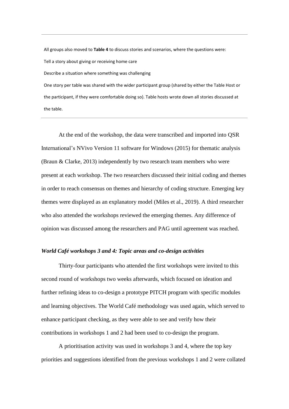All groups also moved to **Table 4** to discuss stories and scenarios, where the questions were: Tell a story about giving or receiving home care Describe a situation where something was challenging One story per table was shared with the wider participant group (shared by either the Table Host or

the participant, if they were comfortable doing so). Table hosts wrote down all stories discussed at the table.

At the end of the workshop, the data were transcribed and imported into QSR International's NVivo Version 11 software for Windows (2015) for thematic analysis (Braun & Clarke, 2013) independently by two research team members who were present at each workshop. The two researchers discussed their initial coding and themes in order to reach consensus on themes and hierarchy of coding structure. Emerging key themes were displayed as an explanatory model (Miles et al., 2019). A third researcher who also attended the workshops reviewed the emerging themes. Any difference of opinion was discussed among the researchers and PAG until agreement was reached.

## *World Café workshops 3 and 4: Topic areas and co-design activities*

Thirty-four participants who attended the first workshops were invited to this second round of workshops two weeks afterwards, which focused on ideation and further refining ideas to co-design a prototype PITCH program with specific modules and learning objectives. The World Café methodology was used again, which served to enhance participant checking, as they were able to see and verify how their contributions in workshops 1 and 2 had been used to co-design the program.

A prioritisation activity was used in workshops 3 and 4, where the top key priorities and suggestions identified from the previous workshops 1 and 2 were collated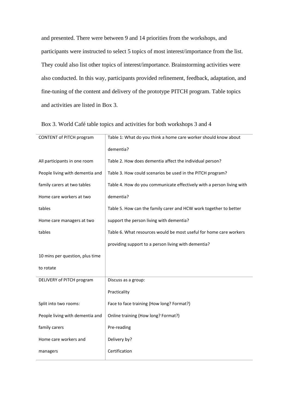and presented. There were between 9 and 14 priorities from the workshops, and participants were instructed to select 5 topics of most interest/importance from the list. They could also list other topics of interest/importance. Brainstorming activities were also conducted. In this way, participants provided refinement, feedback, adaptation, and fine-tuning of the content and delivery of the prototype PITCH program. Table topics and activities are listed in Box 3.

| CONTENT of PITCH program        | Table 1: What do you think a home care worker should know about       |
|---------------------------------|-----------------------------------------------------------------------|
|                                 | dementia?                                                             |
| All participants in one room    | Table 2. How does dementia affect the individual person?              |
| People living with dementia and | Table 3. How could scenarios be used in the PITCH program?            |
| family carers at two tables     | Table 4. How do you communicate effectively with a person living with |
| Home care workers at two        | dementia?                                                             |
| tables                          | Table 5. How can the family carer and HCW work together to better     |
| Home care managers at two       | support the person living with dementia?                              |
| tables                          | Table 6. What resources would be most useful for home care workers    |
|                                 | providing support to a person living with dementia?                   |
| 10 mins per question, plus time |                                                                       |
| to rotate                       |                                                                       |
| DELIVERY of PITCH program       | Discuss as a group:                                                   |
|                                 | Practicality                                                          |
| Split into two rooms:           | Face to face training (How long? Format?)                             |
| People living with dementia and | Online training (How long? Format?)                                   |
| family carers                   | Pre-reading                                                           |
| Home care workers and           | Delivery by?                                                          |
| managers                        | Certification                                                         |

Box 3. World Café table topics and activities for both workshops 3 and 4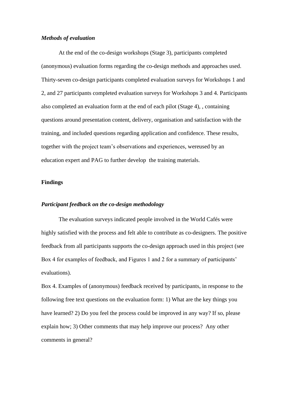## *Methods of evaluation*

At the end of the co-design workshops (Stage 3), participants completed (anonymous) evaluation forms regarding the co-design methods and approaches used. Thirty-seven co-design participants completed evaluation surveys for Workshops 1 and 2, and 27 participants completed evaluation surveys for Workshops 3 and 4. Participants also completed an evaluation form at the end of each pilot (Stage 4), , containing questions around presentation content, delivery, organisation and satisfaction with the training, and included questions regarding application and confidence. These results, together with the project team's observations and experiences, wereused by an education expert and PAG to further develop the training materials.

## **Findings**

### *Participant feedback on the co-design methodology*

The evaluation surveys indicated people involved in the World Cafés were highly satisfied with the process and felt able to contribute as co-designers. The positive feedback from all participants supports the co-design approach used in this project (see Box 4 for examples of feedback, and Figures 1 and 2 for a summary of participants' evaluations).

Box 4. Examples of (anonymous) feedback received by participants, in response to the following free text questions on the evaluation form: 1) What are the key things you have learned? 2) Do you feel the process could be improved in any way? If so, please explain how; 3) Other comments that may help improve our process? Any other comments in general?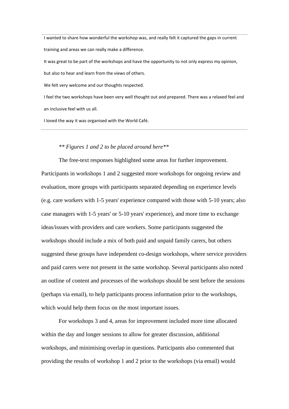I wanted to share how wonderful the workshop was, and really felt it captured the gaps in current training and areas we can really make a difference.

It was great to be part of the workshops and have the opportunity to not only express my opinion,

but also to hear and learn from the views of others.

We felt very welcome and our thoughts respected.

I feel the two workshops have been very well thought out and prepared. There was a relaxed feel and an inclusive feel with us all.

I loved the way it was organised with the World Café.

## *\*\* Figures 1 and 2 to be placed around here\*\**

The free-text responses highlighted some areas for further improvement. Participants in workshops 1 and 2 suggested more workshops for ongoing review and evaluation, more groups with participants separated depending on experience levels (e.g. care workers with 1-5 years' experience compared with those with 5-10 years; also case managers with 1-5 years' or 5-10 years' experience), and more time to exchange ideas/issues with providers and care workers. Some participants suggested the workshops should include a mix of both paid and unpaid family carers, but others suggested these groups have independent co-design workshops, where service providers and paid carers were not present in the same workshop. Several participants also noted an outline of content and processes of the workshops should be sent before the sessions (perhaps via email), to help participants process information prior to the workshops, which would help them focus on the most important issues.

For workshops 3 and 4, areas for improvement included more time allocated within the day and longer sessions to allow for greater discussion, additional workshops, and minimising overlap in questions. Participants also commented that providing the results of workshop 1 and 2 prior to the workshops (via email) would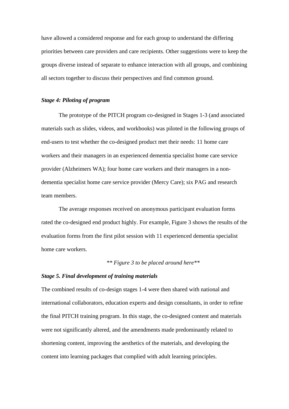have allowed a considered response and for each group to understand the differing priorities between care providers and care recipients. Other suggestions were to keep the groups diverse instead of separate to enhance interaction with all groups, and combining all sectors together to discuss their perspectives and find common ground.

## *Stage 4: Piloting of program*

The prototype of the PITCH program co-designed in Stages 1-3 (and associated materials such as slides, videos, and workbooks) was piloted in the following groups of end-users to test whether the co-designed product met their needs: 11 home care workers and their managers in an experienced dementia specialist home care service provider (Alzheimers WA); four home care workers and their managers in a nondementia specialist home care service provider (Mercy Care); six PAG and research team members.

The average responses received on anonymous participant evaluation forms rated the co-designed end product highly. For example, Figure 3 shows the results of the evaluation forms from the first pilot session with 11 experienced dementia specialist home care workers.

### *\*\* Figure 3 to be placed around here\*\**

## *Stage 5. Final development of training materials*

The combined results of co-design stages 1-4 were then shared with national and international collaborators, education experts and design consultants, in order to refine the final PITCH training program. In this stage, the co-designed content and materials were not significantly altered, and the amendments made predominantly related to shortening content, improving the aesthetics of the materials, and developing the content into learning packages that complied with adult learning principles.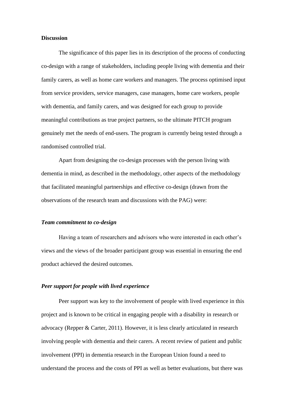## **Discussion**

The significance of this paper lies in its description of the process of conducting co-design with a range of stakeholders, including people living with dementia and their family carers, as well as home care workers and managers. The process optimised input from service providers, service managers, case managers, home care workers, people with dementia, and family carers, and was designed for each group to provide meaningful contributions as true project partners, so the ultimate PITCH program genuinely met the needs of end-users. The program is currently being tested through a randomised controlled trial.

Apart from designing the co-design processes with the person living with dementia in mind, as described in the methodology, other aspects of the methodology that facilitated meaningful partnerships and effective co-design (drawn from the observations of the research team and discussions with the PAG) were:

#### *Team commitment to co-design*

Having a team of researchers and advisors who were interested in each other's views and the views of the broader participant group was essential in ensuring the end product achieved the desired outcomes.

## *Peer support for people with lived experience*

Peer support was key to the involvement of people with lived experience in this project and is known to be critical in engaging people with a disability in research or advocacy (Repper & Carter, 2011). However, it is less clearly articulated in research involving people with dementia and their carers. A recent review of patient and public involvement (PPI) in dementia research in the European Union found a need to understand the process and the costs of PPI as well as better evaluations, but there was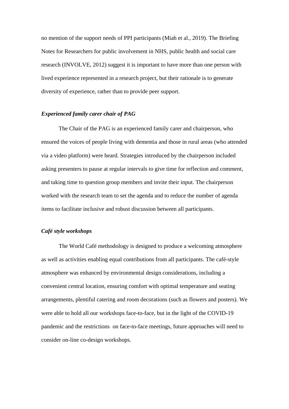no mention of the support needs of PPI participants (Miah et al., 2019). The Briefing Notes for Researchers for public involvement in NHS, public health and social care research (INVOLVE, 2012) suggest it is important to have more than one person with lived experience represented in a research project, but their rationale is to generate diversity of experience, rather than to provide peer support.

## *Experienced family carer chair of PAG*

The Chair of the PAG is an experienced family carer and chairperson, who ensured the voices of people living with dementia and those in rural areas (who attended via a video platform) were heard. Strategies introduced by the chairperson included asking presenters to pause at regular intervals to give time for reflection and comment, and taking time to question group members and invite their input. The chairperson worked with the research team to set the agenda and to reduce the number of agenda items to facilitate inclusive and robust discussion between all participants.

## *Café style workshops*

The World Café methodology is designed to produce a welcoming atmosphere as well as activities enabling equal contributions from all participants. The café-style atmosphere was enhanced by environmental design considerations, including a convenient central location, ensuring comfort with optimal temperature and seating arrangements, plentiful catering and room decorations (such as flowers and posters). We were able to hold all our workshops face-to-face, but in the light of the COVID-19 pandemic and the restrictions on face-to-face meetings, future approaches will need to consider on-line co-design workshops.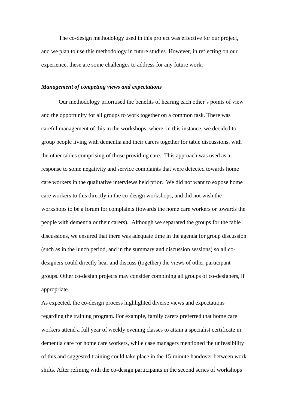The co-design methodology used in this project was effective for our project, and we plan to use this methodology in future studies. However, in reflecting on our experience, these are some challenges to address for any future work:

### *Management of competing views and expectations*

Our methodology prioritised the benefits of hearing each other's points of view and the opportunity for all groups to work together on a common task. There was careful management of this in the workshops, where, in this instance, we decided to group people living with dementia and their carers together for table discussions, with the other tables comprising of those providing care. This approach was used as a response to some negativity and service complaints that were detected towards home care workers in the qualitative interviews held prior. We did not want to expose home care workers to this directly in the co-design workshops, and did not wish the workshops to be a forum for complaints (towards the home care workers or towards the people with dementia or their carers). Although we separated the groups for the table discussions, we ensured that there was adequate time in the agenda for group discussion (such as in the lunch period, and in the summary and discussion sessions) so all codesigners could directly hear and discuss (together) the views of other participant groups. Other co-design projects may consider combining all groups of co-designers, if appropriate.

As expected, the co-design process highlighted diverse views and expectations regarding the training program. For example, family carers preferred that home care workers attend a full year of weekly evening classes to attain a specialist certificate in dementia care for home care workers, while case managers mentioned the unfeasibility of this and suggested training could take place in the 15-minute handover between work shifts. After refining with the co-design participants in the second series of workshops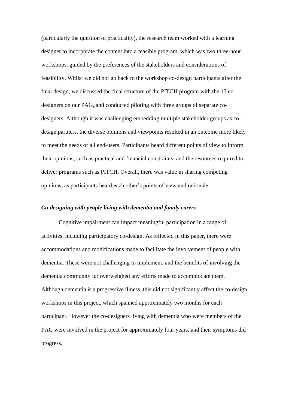(particularly the question of practicality), the research team worked with a learning designer to incorporate the content into a feasible program, which was two three-hour workshops, guided by the preferences of the stakeholders and considerations of feasibility. Whilst we did not go back to the workshop co-design participants after the final design, we discussed the final structure of the PITCH program with the 17 codesigners on our PAG, and conducted piloting with three groups of separate codesigners. Although it was challenging embedding multiple stakeholder groups as codesign partners, the diverse opinions and viewpoints resulted in an outcome more likely to meet the needs of all end-users. Participants heard different points of view to inform their opinions, such as practical and financial constraints, and the resources required to deliver programs such as PITCH. Overall, there was value in sharing competing opinions, as participants heard each other's points of view and rationale.

#### *Co-designing with people living with dementia and family carers*

Cognitive impairment can impact meaningful participation in a range of activities, including participatory co-design. As reflected in this paper, there were accommodations and modifications made to facilitate the involvement of people with dementia. These were not challenging to implement, and the benefits of involving the dementia community far overweighed any efforts made to accommodate them. Although dementia is a progressive illness, this did not significantly affect the co-design workshops in this project, which spanned approximately two months for each participant. However the co-designers living with dementia who were members of the PAG were involved in the project for approximately four years, and their symptoms did progress.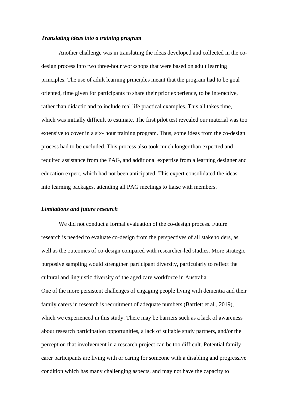## *Translating ideas into a training program*

Another challenge was in translating the ideas developed and collected in the codesign process into two three-hour workshops that were based on adult learning principles. The use of adult learning principles meant that the program had to be goal oriented, time given for participants to share their prior experience, to be interactive, rather than didactic and to include real life practical examples. This all takes time, which was initially difficult to estimate. The first pilot test revealed our material was too extensive to cover in a six- hour training program. Thus, some ideas from the co-design process had to be excluded. This process also took much longer than expected and required assistance from the PAG, and additional expertise from a learning designer and education expert, which had not been anticipated. This expert consolidated the ideas into learning packages, attending all PAG meetings to liaise with members.

## *Limitations and future research*

We did not conduct a formal evaluation of the co-design process. Future research is needed to evaluate co-design from the perspectives of all stakeholders, as well as the outcomes of co-design compared with researcher-led studies. More strategic purposive sampling would strengthen participant diversity, particularly to reflect the cultural and linguistic diversity of the aged care workforce in Australia. One of the more persistent challenges of engaging people living with dementia and their family carers in research is recruitment of adequate numbers (Bartlett et al., 2019), which we experienced in this study. There may be barriers such as a lack of awareness about research participation opportunities, a lack of suitable study partners, and/or the perception that involvement in a research project can be too difficult. Potential family carer participants are living with or caring for someone with a disabling and progressive condition which has many challenging aspects, and may not have the capacity to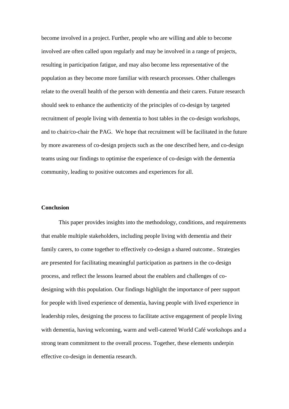become involved in a project. Further, people who are willing and able to become involved are often called upon regularly and may be involved in a range of projects, resulting in participation fatigue, and may also become less representative of the population as they become more familiar with research processes. Other challenges relate to the overall health of the person with dementia and their carers. Future research should seek to enhance the authenticity of the principles of co-design by targeted recruitment of people living with dementia to host tables in the co-design workshops, and to chair/co-chair the PAG. We hope that recruitment will be facilitated in the future by more awareness of co-design projects such as the one described here, and co-design teams using our findings to optimise the experience of co-design with the dementia community, leading to positive outcomes and experiences for all.

#### **Conclusion**

This paper provides insights into the methodology, conditions, and requirements that enable multiple stakeholders, including people living with dementia and their family carers, to come together to effectively co-design a shared outcome.. Strategies are presented for facilitating meaningful participation as partners in the co-design process, and reflect the lessons learned about the enablers and challenges of codesigning with this population. Our findings highlight the importance of peer support for people with lived experience of dementia, having people with lived experience in leadership roles, designing the process to facilitate active engagement of people living with dementia, having welcoming, warm and well-catered World Café workshops and a strong team commitment to the overall process. Together, these elements underpin effective co-design in dementia research.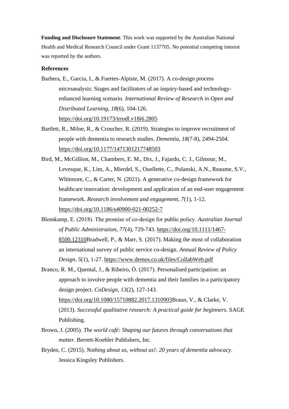**Funding and Disclosure Statement**: This work was supported by the Australian National Health and Medical Research Council under Grant 1137705. No potential competing interest was reported by the authors.

## **References**

- Barbera, E., Garcia, I., & Fuertes-Alpiste, M. (2017). A co-design process microanalysis: Stages and facilitators of an inquiry-based and technologyenhanced learning scenario. *International Review of Research in Open and Distributed Learning*, *18*(6), 104-126. <https://doi.org/10.19173/irrodl.v18i6.2805>
- Bartlett, R., Milne, R., & Croucher, R. (2019). Strategies to improve recruitment of people with dementia to research studies. *Dementia*, *18*(7-8), 2494-2504. <https://doi.org/10.1177/1471301217748503>
- Bird, M., McGillion, M., Chambers, E. M., Dix, J., Fajardo, C. J., Gilmour, M., Levesque, K., Lim, A., Mierdel, S., Ouellette, C., Polanski, A.N., Reaume, S.V., Whitmore, C., & Carter, N. (2021). A generative co-design framework for healthcare innovation: development and application of an end-user engagement framework. *Research involvement and engagement, 7*(1), 1-12. <https://doi.org/10.1186/s40900-021-00252-7>
- Blomkamp, E. (2018). The promise of co‐design for public policy. *Australian Journal of Public Administration*, *77*(4), 729-743. [https://doi.org/10.1111/1467-](https://doi.org/10.1111/1467-8500.12310) [8500.12310B](https://doi.org/10.1111/1467-8500.12310)radwell, P., & Marr, S. (2017). Making the most of collaboration an international survey of public service co-design. *Annual Review of Policy Design*, *5*(1), 1-27. <https://www.demos.co.uk/files/CollabWeb.pdf>
- Branco, R. M., Quental, J., & Ribeiro, Ó. (2017). Personalised participation: an approach to involve people with dementia and their families in a participatory design project. *CoDesign, 13*(2), 127-143. [https://doi.org/10.1080/15710882.2017.1310903B](https://doi.org/10.1080/15710882.2017.1310903)raun, V., & Clarke, V. (2013). *Successful qualitative research: A practical guide for beginners*. SAGE Publishing.
- Brown, J. (2005). *The world café: Shaping our futures through conversations that matter*. Berrett-Koehler Publishers, Inc.
- Bryden, C. (2015). *Nothing about us, without us!: 20 years of dementia advocacy*. Jessica Kingsley Publishers.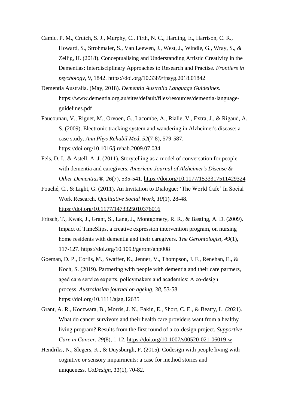- Camic, P. M., Crutch, S. J., Murphy, C., Firth, N. C., Harding, E., Harrison, C. R., Howard, S., Strohmaier, S., Van Leewen, J., West, J., Windle, G., Wray, S., & Zeilig, H. (2018). Conceptualising and Understanding Artistic Creativity in the Dementias: Interdisciplinary Approaches to Research and Practise. *Frontiers in psychology, 9*, 1842.<https://doi.org/10.3389/fpsyg.2018.01842>
- Dementia Australia. (May, 2018). *Dementia Australia Language Guidelines*. [https://www.dementia.org.au/sites/default/files/resources/dementia-language](https://www.dementia.org.au/sites/default/files/resources/dementia-language-guidelines.pdf)[guidelines.pdf](https://www.dementia.org.au/sites/default/files/resources/dementia-language-guidelines.pdf)
- Faucounau, V., Riguet, M., Orvoen, G., Lacombe, A., Rialle, V., Extra, J., & Rigaud, A. S. (2009). Electronic tracking system and wandering in Alzheimer's disease: a case study. *Ann Phys Rehabil Med, 52*(7-8), 579-587. <https://doi.org/10.1016/j.rehab.2009.07.034>
- Fels, D. I., & Astell, A. J. (2011). Storytelling as a model of conversation for people with dementia and caregivers. *American Journal of Alzheimer's Disease & Other Dementias®*, *26*(7), 535-541. [https://doi.org/10.1177/1533317511429324](https://doi.org/10.1177%2F1533317511429324)
- Fouché, C., & Light, G. (2011). An Invitation to Dialogue: 'The World Cafe' In Social Work Research. *Qualitative Social Work*, *10*(1), 28-48. [https://doi.org/10.1177/1473325010376016](https://doi.org/10.1177%2F1473325010376016)
- Fritsch, T., Kwak, J., Grant, S., Lang, J., Montgomery, R. R., & Basting, A. D. (2009). Impact of TimeSlips, a creative expression intervention program, on nursing home residents with dementia and their caregivers. *The Gerontologist*, *49*(1), 117-127. <https://doi.org/10.1093/geront/gnp008>
- Goeman, D. P., Corlis, M., Swaffer, K., Jenner, V., Thompson, J. F., Renehan, E., & Koch, S. (2019). Partnering with people with dementia and their care partners, aged care service experts, policymakers and academics: A co-design process. *Australasian journal on ageing*, *38*, 53-58. <https://doi.org/10.1111/ajag.12635>
- Grant, A. R., Koczwara, B., Morris, J. N., Eakin, E., Short, C. E., & Beatty, L. (2021). What do cancer survivors and their health care providers want from a healthy living program? Results from the first round of a co-design project. *Supportive Care in Cancer, 29*(8), 1-12.<https://doi.org/10.1007/s00520-021-06019-w>
- Hendriks, N., Slegers, K., & Duysburgh, P. (2015). Codesign with people living with cognitive or sensory impairments: a case for method stories and uniqueness. *CoDesign*, *11*(1), 70-82.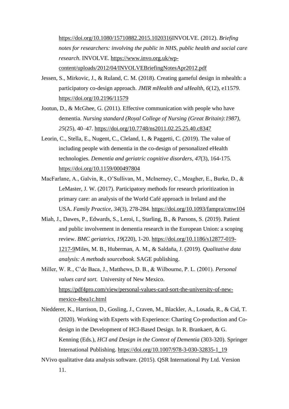[https://doi.org/10.1080/15710882.2015.1020316I](https://doi.org/10.1080/15710882.2015.1020316)NVOLVE. (2012). *Briefing notes for researchers: involving the public in NHS, public health and social care research*. INVOLVE. [https://www.invo.org.uk/wp](https://www.invo.org.uk/wp-content/uploads/2012/04/INVOLVEBriefingNotesApr2012.pdf)[content/uploads/2012/04/INVOLVEBriefingNotesApr2012.pdf](https://www.invo.org.uk/wp-content/uploads/2012/04/INVOLVEBriefingNotesApr2012.pdf)

- Jessen, S., Mirkovic, J., & Ruland, C. M. (2018). Creating gameful design in mhealth: a participatory co-design approach. *JMIR mHealth and uHealth, 6*(12), e11579. <https://doi.org/10.2196/11579>
- Jootun, D., & McGhee, G. (2011). Effective communication with people who have dementia. *Nursing standard (Royal College of Nursing (Great Britain):1987), 25*(25), 40–47.<https://doi.org/10.7748/ns2011.02.25.25.40.c8347>
- Leorin, C., Stella, E., Nugent, C., Cleland, I., & Paggetti, C. (2019). The value of including people with dementia in the co-design of personalized eHealth technologies. *Dementia and geriatric cognitive disorders*, *47*(3), 164-175. <https://doi.org/10.1159/000497804>
- MacFarlane, A., Galvin, R., O'Sullivan, M., McInerney, C., Meagher, E., Burke, D., & LeMaster, J. W. (2017). Participatory methods for research prioritization in primary care: an analysis of the World Café approach in Ireland and the USA. *Family Practice*, *34*(3), 278-284. <https://doi.org/10.1093/fampra/cmw104>
- Miah, J., Dawes, P., Edwards, S., Leroi, I., Starling, B., & Parsons, S. (2019). Patient and public involvement in dementia research in the European Union: a scoping review. *BMC geriatrics*, *19*(220), 1-20. [https://doi.org/10.1186/s12877-019-](https://doi.org/10.1186/s12877-019-1217-9) [1217-9M](https://doi.org/10.1186/s12877-019-1217-9)iles, M. B., Huberman, A. M., & Saldaña, J. (2019). *Qualitative data analysis: A methods sourcebook*. SAGE publishing.
- Miller, W. R., C'de Baca, J., Matthews, D. B., & Wilbourne, P. L. (2001). *Personal values card sort.* University of New Mexico. [https://pdf4pro.com/view/personal-values-card-sort-the-university-of-new](https://pdf4pro.com/view/personal-values-card-sort-the-university-of-new-mexico-4bea1c.html)[mexico-4bea1c.html](https://pdf4pro.com/view/personal-values-card-sort-the-university-of-new-mexico-4bea1c.html)
- Niedderer, K., Harrison, D., Gosling, J., Craven, M., Blackler, A., Losada, R., & Cid, T. (2020). Working with Experts with Experience: Charting Co-production and Codesign in the Development of HCI-Based Design. In R. Brankaert, & G. Kenning (Eds.), *HCI and Design in the Context of Dementia* (303-320). Springer International Publishing. [https://doi.org/10.1007/978-3-030-32835-1\\_19](https://doi.org/10.1007/978-3-030-32835-1_19)
- NVivo qualitative data analysis software. (2015). QSR International Pty Ltd. Version 11.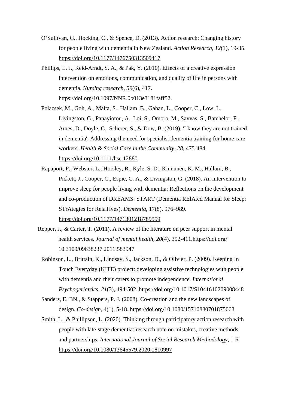- O'Sullivan, G., Hocking, C., & Spence, D. (2013). Action research: Changing history for people living with dementia in New Zealand. *Action Research*, *12*(1), 19-35. <https://doi.org/10.1177/1476750313509417>
- Phillips, L. J., Reid-Arndt, S. A., & Pak, Y. (2010). Effects of a creative expression intervention on emotions, communication, and quality of life in persons with dementia. *Nursing research*, *59*(6), 417.

<https://doi.org/10.1097/NNR.0b013e3181faff52.>

- Polacsek, M., Goh, A., Malta, S., Hallam, B., Gahan, L., Cooper, C., Low, L., Livingston, G., Panayiotou, A., Loi, S., Omoro, M., Savvas, S., Batchelor, F., Ames, D., Doyle, C., Scherer, S., & Dow, B. (2019). 'I know they are not trained in dementia': Addressing the need for specialist dementia training for home care workers. *Health & Social Care in the Community, 28,* 475-484. <https://doi.org/10.1111/hsc.12880>
- Rapaport, P., Webster, L., Horsley, R., Kyle, S. D., Kinnunen, K. M., Hallam, B., Pickett, J., Cooper, C., Espie, C. A., & Livingston, G. (2018). An intervention to improve sleep for people living with dementia: Reflections on the development and co-production of DREAMS: START (Dementia RElAted Manual for Sleep: STrAtegies for RelaTives). *Dementia*, 17(8), 976–989. <https://doi.org/10.1177/1471301218789559>
- Repper, J., & Carter, T. (2011). A review of the literature on peer support in mental health services. *Journal of mental health*, *20*(4), 392-411.https://doi.org/ [10.3109/09638237.2011.583947](https://doi.org/10.3109/09638237.2011.583947)
	- Robinson, L., Brittain, K., Lindsay, S., Jackson, D., & Olivier, P. (2009). Keeping In Touch Everyday (KITE) project: developing assistive technologies with people with dementia and their carers to promote independence. *International Psychogeriatrics, 21*(3), 494-502. https://doi.org[/10.1017/S1041610209008448](https://doi.org/10.1017/s1041610209008448)
	- Sanders, E. BN., & Stappers, P. J. (2008). Co-creation and the new landscapes of design. *Co-design*, 4(1), 5-18. <https://doi.org/10.1080/15710880701875068>
	- Smith, L., & Phillipson, L. (2020). Thinking through participatory action research with people with late-stage dementia: research note on mistakes, creative methods and partnerships. *International Journal of Social Research Methodology*, 1-6. <https://doi.org/10.1080/13645579.2020.1810997>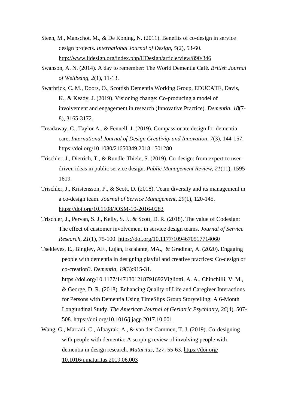- Steen, M., Manschot, M., & De Koning, N. (2011). Benefits of co-design in service design projects. *International Journal of Design*, *5*(2), 53-60. <http://www.ijdesign.org/index.php/IJDesign/article/view/890/346>
- Swanson, A. N. (2014). A day to remember: The World Dementia Café. *British Journal of Wellbeing*, *2*(1), 11-13.
- Swarbrick, C. M., Doors, O., Scottish Dementia Working Group, EDUCATE, Davis, K., & Keady, J. (2019). Visioning change: Co-producing a model of involvement and engagement in research (Innovative Practice). *Dementia*, *18*(7- 8), 3165-3172.
- Treadaway, C., Taylor A., & Fennell, J. (2019). Compassionate design for dementia care, *International Journal of Design Creativity and Innovation, 7*(3), 144-157. https://doi.org[/10.1080/21650349.2018.1501280](https://doi.org/10.1080/21650349.2018.1501280)
- Trischler, J., Dietrich, T., & Rundle-Thiele, S. (2019). Co-design: from expert-to userdriven ideas in public service design. *Public Management Review, 21*(11), 1595- 1619.
- Trischler, J., Kristensson, P., & Scott, D. (2018). Team diversity and its management in a co-design team. *Journal of Service Management, 29*(1), 120-145. <https://doi.org/10.1108/JOSM-10-2016-0283>
- Trischler, J., Pervan, S. J., Kelly, S. J., & Scott, D. R. (2018). The value of Codesign: The effect of customer involvement in service design teams. *Journal of Service Research*, *21*(1), 75-100. <https://doi.org/10.1177/1094670517714060>
- Tsekleves, E., Bingley, AF., Luján, Escalante, MA., & Gradinar, A. (2020). Engaging people with dementia in designing playful and creative practices: Co-design or co-creation?. *Dementia*, *19*(3):915-31. [https://doi.org/10.1177/1471301218791692V](https://doi.org/10.1177/1471301218791692)igliotti, A. A., Chinchilli, V. M., & George, D. R. (2018). Enhancing Quality of Life and Caregiver Interactions for Persons with Dementia Using TimeSlips Group Storytelling: A 6-Month Longitudinal Study. *The American Journal of Geriatric Psychiatry*, *26*(4), 507- 508. <https://doi.org/10.1016/j.jagp.2017.10.001>
- Wang, G., Marradi, C., Albayrak, A., & van der Cammen, T. J. (2019). Co-designing with people with dementia: A scoping review of involving people with dementia in design research. *Maturitas*, *127*, 55-63. [https://doi.org/](https://doi.org/%2010.1016/j.maturitas.2019.06.003) [10.1016/j.maturitas.2019.06.003](https://doi.org/%2010.1016/j.maturitas.2019.06.003)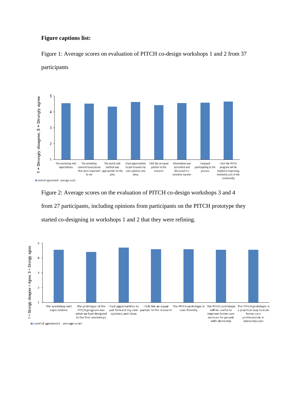## **Figure captions list:**

Figure 1: Average scores on evaluation of PITCH co-design workshops 1 and 2 from 37 participants



Figure 2: Average scores on the evaluation of PITCH co-design workshops 3 and 4 from 27 participants, including opinions from participants on the PITCH prototype they started co-designing in workshops 1 and 2 that they were refining.